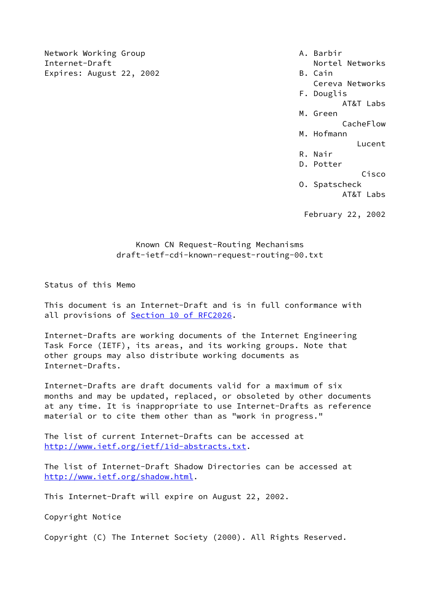Network Working Group **A. Barbir** Internet-Draft **Nortel Networks** Nortel Networks Expires: August 22, 2002 B. Cain

- 
- Cereva Networks
- F. Douglis
	- AT&T Labs
- M. Green

**CacheFlow** (1996) 2012 12:30:00 12:30 12:30 12:30 12:30 12:30 12:30 12:30 12:30 12:30 12:30 12:30 12:30 12:30

 M. Hofmann Lucent

- R. Nair
	- D. Potter

Cisco

O. Spatscheck

AT&T Labs

February 22, 2002

# Known CN Request-Routing Mechanisms draft-ietf-cdi-known-request-routing-00.txt

Status of this Memo

This document is an Internet-Draft and is in full conformance with all provisions of **Section 10 of RFC2026**.

Internet-Drafts are working documents of the Internet Engineering Task Force (IETF), its areas, and its working groups. Note that other groups may also distribute working documents as Internet-Drafts.

Internet-Drafts are draft documents valid for a maximum of six months and may be updated, replaced, or obsoleted by other documents at any time. It is inappropriate to use Internet-Drafts as reference material or to cite them other than as "work in progress."

The list of current Internet-Drafts can be accessed at [http://www.ietf.org/ietf/1id-abstracts.txt.](http://www.ietf.org/ietf/1id-abstracts.txt)

The list of Internet-Draft Shadow Directories can be accessed at <http://www.ietf.org/shadow.html>.

This Internet-Draft will expire on August 22, 2002.

Copyright Notice

Copyright (C) The Internet Society (2000). All Rights Reserved.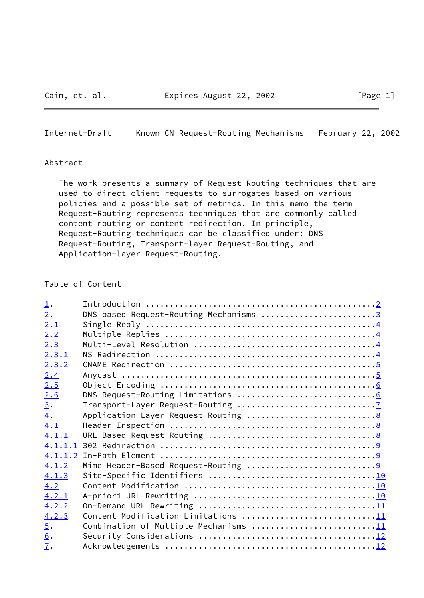<span id="page-1-0"></span>Internet-Draft Known CN Request-Routing Mechanisms February 22, 2002

### Abstract

 The work presents a summary of Request-Routing techniques that are used to direct client requests to surrogates based on various policies and a possible set of metrics. In this memo the term Request-Routing represents techniques that are commonly called content routing or content redirection. In principle, Request-Routing techniques can be classified under: DNS Request-Routing, Transport-layer Request-Routing, and Application-layer Request-Routing.

# Table of Content

| $\perp$ .        |                                        |
|------------------|----------------------------------------|
| 2.               | DNS based Request-Routing Mechanisms 3 |
| 2.1              |                                        |
| 2.2              |                                        |
| 2.3              |                                        |
| 2.3.1            |                                        |
| 2.3.2            |                                        |
| 2.4              |                                        |
| 2.5              |                                        |
| 2.6              |                                        |
| 3.               |                                        |
| 4.               |                                        |
| 4.1              |                                        |
| 4.1.1            |                                        |
|                  |                                        |
| 4.1.1.2          |                                        |
| 4.1.2            |                                        |
| 4.1.3            |                                        |
| 4.2              |                                        |
| 4.2.1            |                                        |
| 4.2.2            |                                        |
| 4.2.3            | Content Modification Limitations 11    |
| $\overline{5}$ . | Combination of Multiple Mechanisms 11  |
| 6.               |                                        |
| $\mathbf{I}$ .   |                                        |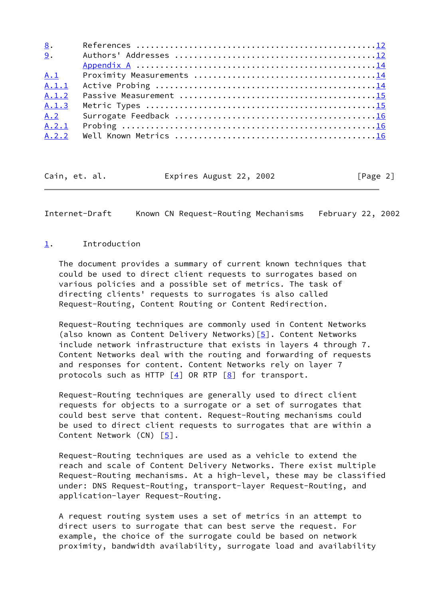| 8.    |  |
|-------|--|
| 9.    |  |
|       |  |
| A.1   |  |
| A.1.1 |  |
| A.1.2 |  |
| A.1.3 |  |
| A.2   |  |
| A.2.1 |  |
| A.2.2 |  |

Cain, et. al. Expires August 22, 2002 [Page 2]

<span id="page-2-1"></span>Internet-Draft Known CN Request-Routing Mechanisms February 22, 2002

## <span id="page-2-0"></span>[1](#page-2-0). Introduction

 The document provides a summary of current known techniques that could be used to direct client requests to surrogates based on various policies and a possible set of metrics. The task of directing clients' requests to surrogates is also called Request-Routing, Content Routing or Content Redirection.

 Request-Routing techniques are commonly used in Content Networks (also known as Content Delivery Networks)[\[5\]](#page-13-2). Content Networks include network infrastructure that exists in layers 4 through 7. Content Networks deal with the routing and forwarding of requests and responses for content. Content Networks rely on layer 7 protocols such as HTTP  $\left[\frac{4}{1}\right]$  OR RTP  $\left[\frac{8}{1}\right]$  for transport.

 Request-Routing techniques are generally used to direct client requests for objects to a surrogate or a set of surrogates that could best serve that content. Request-Routing mechanisms could be used to direct client requests to surrogates that are within a Content Network (CN) [\[5\]](#page-13-2).

 Request-Routing techniques are used as a vehicle to extend the reach and scale of Content Delivery Networks. There exist multiple Request-Routing mechanisms. At a high-level, these may be classified under: DNS Request-Routing, transport-layer Request-Routing, and application-layer Request-Routing.

 A request routing system uses a set of metrics in an attempt to direct users to surrogate that can best serve the request. For example, the choice of the surrogate could be based on network proximity, bandwidth availability, surrogate load and availability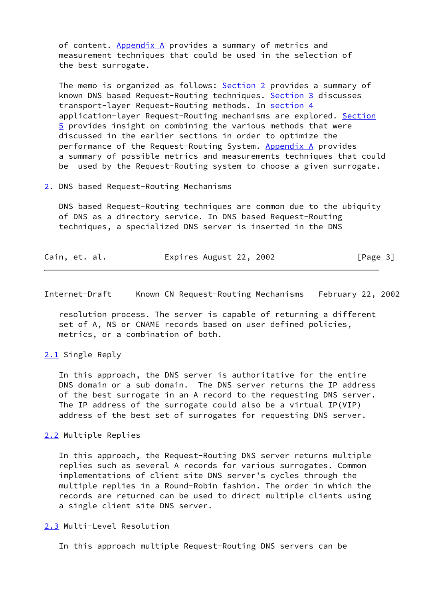of content. Appendix A provides a summary of metrics and measurement techniques that could be used in the selection of the best surrogate.

The memo is organized as follows: [Section 2](#page-3-0) provides a summary of known DNS based Request-Routing techniques. [Section 3](#page-7-0) discusses transport-layer Request-Routing methods. In [section 4](#page-8-0) application-layer Request-Routing mechanisms are explored. [Section](#page-12-0) [5](#page-12-0) provides insight on combining the various methods that were discussed in the earlier sections in order to optimize the performance of the Request-Routing System. Appendix A provides a summary of possible metrics and measurements techniques that could be used by the Request-Routing system to choose a given surrogate.

#### <span id="page-3-0"></span>[2](#page-3-0). DNS based Request-Routing Mechanisms

 DNS based Request-Routing techniques are common due to the ubiquity of DNS as a directory service. In DNS based Request-Routing techniques, a specialized DNS server is inserted in the DNS

| Cain, et. al. | Expires August 22, 2002 | [Page 3] |
|---------------|-------------------------|----------|
|---------------|-------------------------|----------|

<span id="page-3-2"></span>Internet-Draft Known CN Request-Routing Mechanisms February 22, 2002

 resolution process. The server is capable of returning a different set of A, NS or CNAME records based on user defined policies, metrics, or a combination of both.

### <span id="page-3-1"></span>[2.1](#page-3-1) Single Reply

 In this approach, the DNS server is authoritative for the entire DNS domain or a sub domain. The DNS server returns the IP address of the best surrogate in an A record to the requesting DNS server. The IP address of the surrogate could also be a virtual IP(VIP) address of the best set of surrogates for requesting DNS server.

## <span id="page-3-3"></span>[2.2](#page-3-3) Multiple Replies

 In this approach, the Request-Routing DNS server returns multiple replies such as several A records for various surrogates. Common implementations of client site DNS server's cycles through the multiple replies in a Round-Robin fashion. The order in which the records are returned can be used to direct multiple clients using a single client site DNS server.

## <span id="page-3-4"></span>[2.3](#page-3-4) Multi-Level Resolution

In this approach multiple Request-Routing DNS servers can be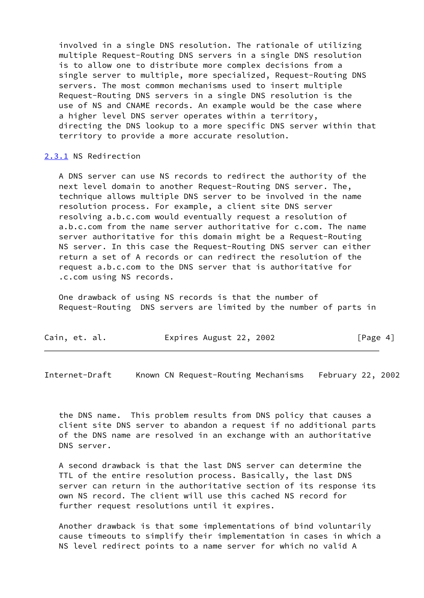involved in a single DNS resolution. The rationale of utilizing multiple Request-Routing DNS servers in a single DNS resolution is to allow one to distribute more complex decisions from a single server to multiple, more specialized, Request-Routing DNS servers. The most common mechanisms used to insert multiple Request-Routing DNS servers in a single DNS resolution is the use of NS and CNAME records. An example would be the case where a higher level DNS server operates within a territory, directing the DNS lookup to a more specific DNS server within that territory to provide a more accurate resolution.

### <span id="page-4-0"></span>[2.3.1](#page-4-0) NS Redirection

 A DNS server can use NS records to redirect the authority of the next level domain to another Request-Routing DNS server. The, technique allows multiple DNS server to be involved in the name resolution process. For example, a client site DNS server resolving a.b.c.com would eventually request a resolution of a.b.c.com from the name server authoritative for c.com. The name server authoritative for this domain might be a Request-Routing NS server. In this case the Request-Routing DNS server can either return a set of A records or can redirect the resolution of the request a.b.c.com to the DNS server that is authoritative for .c.com using NS records.

 One drawback of using NS records is that the number of Request-Routing DNS servers are limited by the number of parts in

| Cain, et. al. | Expires August 22, 2002 | [Page 4] |
|---------------|-------------------------|----------|
|---------------|-------------------------|----------|

<span id="page-4-1"></span>Internet-Draft Known CN Request-Routing Mechanisms February 22, 2002

 the DNS name. This problem results from DNS policy that causes a client site DNS server to abandon a request if no additional parts of the DNS name are resolved in an exchange with an authoritative DNS server.

 A second drawback is that the last DNS server can determine the TTL of the entire resolution process. Basically, the last DNS server can return in the authoritative section of its response its own NS record. The client will use this cached NS record for further request resolutions until it expires.

 Another drawback is that some implementations of bind voluntarily cause timeouts to simplify their implementation in cases in which a NS level redirect points to a name server for which no valid A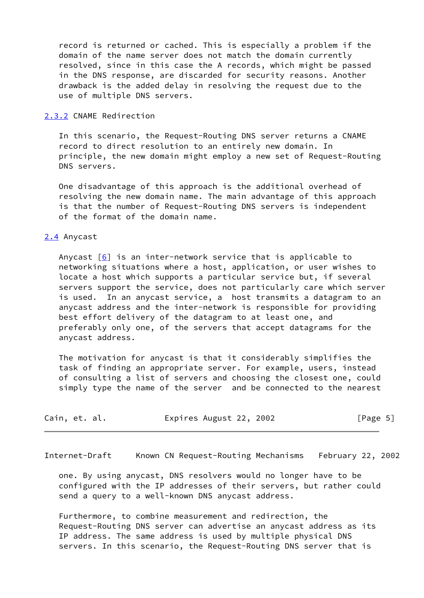record is returned or cached. This is especially a problem if the domain of the name server does not match the domain currently resolved, since in this case the A records, which might be passed in the DNS response, are discarded for security reasons. Another drawback is the added delay in resolving the request due to the use of multiple DNS servers.

#### <span id="page-5-0"></span>[2.3.2](#page-5-0) CNAME Redirection

 In this scenario, the Request-Routing DNS server returns a CNAME record to direct resolution to an entirely new domain. In principle, the new domain might employ a new set of Request-Routing DNS servers.

 One disadvantage of this approach is the additional overhead of resolving the new domain name. The main advantage of this approach is that the number of Request-Routing DNS servers is independent of the format of the domain name.

#### <span id="page-5-1"></span>[2.4](#page-5-1) Anycast

Anycast  $[6]$  $[6]$  is an inter-network service that is applicable to networking situations where a host, application, or user wishes to locate a host which supports a particular service but, if several servers support the service, does not particularly care which server is used. In an anycast service, a host transmits a datagram to an anycast address and the inter-network is responsible for providing best effort delivery of the datagram to at least one, and preferably only one, of the servers that accept datagrams for the anycast address.

 The motivation for anycast is that it considerably simplifies the task of finding an appropriate server. For example, users, instead of consulting a list of servers and choosing the closest one, could simply type the name of the server and be connected to the nearest

| Cain, et. al. | Expires August 22, 2002 |  | [Page 5] |  |
|---------------|-------------------------|--|----------|--|
|---------------|-------------------------|--|----------|--|

<span id="page-5-2"></span>Internet-Draft Known CN Request-Routing Mechanisms February 22, 2002

 one. By using anycast, DNS resolvers would no longer have to be configured with the IP addresses of their servers, but rather could send a query to a well-known DNS anycast address.

 Furthermore, to combine measurement and redirection, the Request-Routing DNS server can advertise an anycast address as its IP address. The same address is used by multiple physical DNS servers. In this scenario, the Request-Routing DNS server that is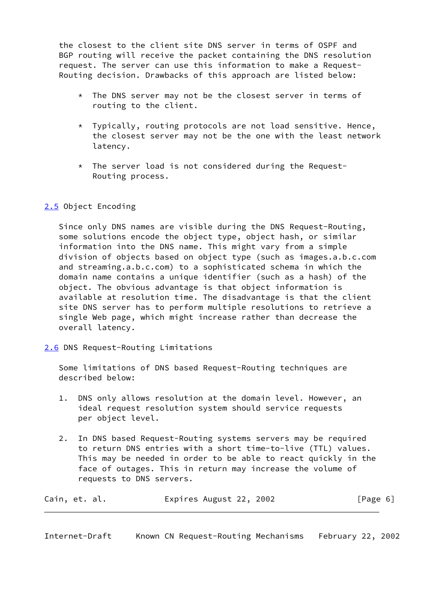the closest to the client site DNS server in terms of OSPF and BGP routing will receive the packet containing the DNS resolution request. The server can use this information to make a Request- Routing decision. Drawbacks of this approach are listed below:

- \* The DNS server may not be the closest server in terms of routing to the client.
- \* Typically, routing protocols are not load sensitive. Hence, the closest server may not be the one with the least network latency.
- \* The server load is not considered during the Request- Routing process.

# <span id="page-6-0"></span>[2.5](#page-6-0) Object Encoding

 Since only DNS names are visible during the DNS Request-Routing, some solutions encode the object type, object hash, or similar information into the DNS name. This might vary from a simple division of objects based on object type (such as images.a.b.c.com and streaming.a.b.c.com) to a sophisticated schema in which the domain name contains a unique identifier (such as a hash) of the object. The obvious advantage is that object information is available at resolution time. The disadvantage is that the client site DNS server has to perform multiple resolutions to retrieve a single Web page, which might increase rather than decrease the overall latency.

<span id="page-6-1"></span>[2.6](#page-6-1) DNS Request-Routing Limitations

 Some limitations of DNS based Request-Routing techniques are described below:

- 1. DNS only allows resolution at the domain level. However, an ideal request resolution system should service requests per object level.
- 2. In DNS based Request-Routing systems servers may be required to return DNS entries with a short time-to-live (TTL) values. This may be needed in order to be able to react quickly in the face of outages. This in return may increase the volume of requests to DNS servers.

| Cain, et. al. | Expires August 22, 2002 | [Page 6] |
|---------------|-------------------------|----------|
|---------------|-------------------------|----------|

<span id="page-6-2"></span>Internet-Draft Known CN Request-Routing Mechanisms February 22, 2002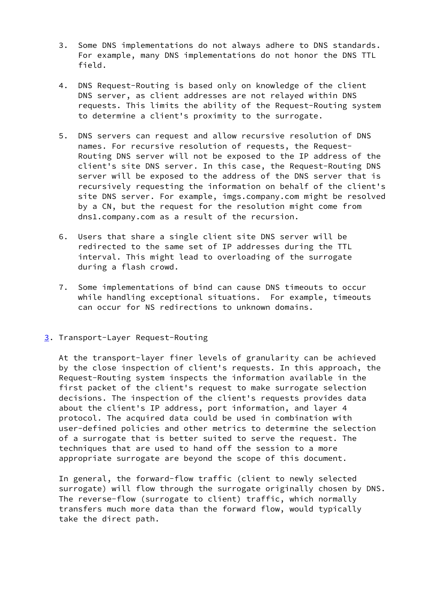- 3. Some DNS implementations do not always adhere to DNS standards. For example, many DNS implementations do not honor the DNS TTL field.
- 4. DNS Request-Routing is based only on knowledge of the client DNS server, as client addresses are not relayed within DNS requests. This limits the ability of the Request-Routing system to determine a client's proximity to the surrogate.
- 5. DNS servers can request and allow recursive resolution of DNS names. For recursive resolution of requests, the Request- Routing DNS server will not be exposed to the IP address of the client's site DNS server. In this case, the Request-Routing DNS server will be exposed to the address of the DNS server that is recursively requesting the information on behalf of the client's site DNS server. For example, imgs.company.com might be resolved by a CN, but the request for the resolution might come from dns1.company.com as a result of the recursion.
- 6. Users that share a single client site DNS server will be redirected to the same set of IP addresses during the TTL interval. This might lead to overloading of the surrogate during a flash crowd.
- 7. Some implementations of bind can cause DNS timeouts to occur while handling exceptional situations. For example, timeouts can occur for NS redirections to unknown domains.
- <span id="page-7-0"></span>[3](#page-7-0). Transport-Layer Request-Routing

 At the transport-layer finer levels of granularity can be achieved by the close inspection of client's requests. In this approach, the Request-Routing system inspects the information available in the first packet of the client's request to make surrogate selection decisions. The inspection of the client's requests provides data about the client's IP address, port information, and layer 4 protocol. The acquired data could be used in combination with user-defined policies and other metrics to determine the selection of a surrogate that is better suited to serve the request. The techniques that are used to hand off the session to a more appropriate surrogate are beyond the scope of this document.

 In general, the forward-flow traffic (client to newly selected surrogate) will flow through the surrogate originally chosen by DNS. The reverse-flow (surrogate to client) traffic, which normally transfers much more data than the forward flow, would typically take the direct path.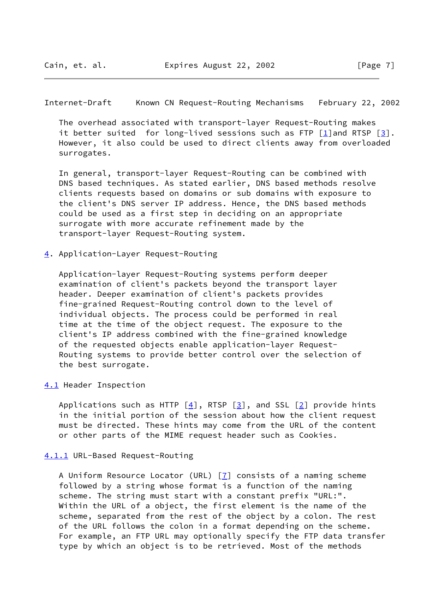<span id="page-8-1"></span>Internet-Draft Known CN Request-Routing Mechanisms February 22, 2002

 The overhead associated with transport-layer Request-Routing makes it better suited for long-lived sessions such as FTP  $\lceil 1 \rceil$  and RTSP  $\lceil 3 \rceil$ . However, it also could be used to direct clients away from overloaded surrogates.

 In general, transport-layer Request-Routing can be combined with DNS based techniques. As stated earlier, DNS based methods resolve clients requests based on domains or sub domains with exposure to the client's DNS server IP address. Hence, the DNS based methods could be used as a first step in deciding on an appropriate surrogate with more accurate refinement made by the transport-layer Request-Routing system.

<span id="page-8-0"></span>[4](#page-8-0). Application-Layer Request-Routing

 Application-layer Request-Routing systems perform deeper examination of client's packets beyond the transport layer header. Deeper examination of client's packets provides fine-grained Request-Routing control down to the level of individual objects. The process could be performed in real time at the time of the object request. The exposure to the client's IP address combined with the fine-grained knowledge of the requested objects enable application-layer Request- Routing systems to provide better control over the selection of the best surrogate.

### <span id="page-8-2"></span>[4.1](#page-8-2) Header Inspection

Applications such as HTTP  $[4]$  $[4]$ , RTSP  $[3]$  $[3]$ , and SSL  $[2]$  provide hints in the initial portion of the session about how the client request must be directed. These hints may come from the URL of the content or other parts of the MIME request header such as Cookies.

## <span id="page-8-3"></span>[4.1.1](#page-8-3) URL-Based Request-Routing

 A Uniform Resource Locator (URL) [\[7\]](#page-13-9) consists of a naming scheme followed by a string whose format is a function of the naming scheme. The string must start with a constant prefix "URL:". Within the URL of a object, the first element is the name of the scheme, separated from the rest of the object by a colon. The rest of the URL follows the colon in a format depending on the scheme. For example, an FTP URL may optionally specify the FTP data transfer type by which an object is to be retrieved. Most of the methods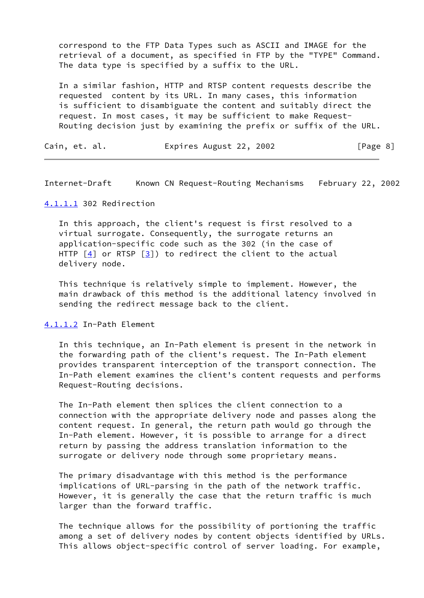correspond to the FTP Data Types such as ASCII and IMAGE for the retrieval of a document, as specified in FTP by the "TYPE" Command. The data type is specified by a suffix to the URL.

 In a similar fashion, HTTP and RTSP content requests describe the requested content by its URL. In many cases, this information is sufficient to disambiguate the content and suitably direct the request. In most cases, it may be sufficient to make Request- Routing decision just by examining the prefix or suffix of the URL.

Cain, et. al. **Expires August 22, 2002** [Page 8]

<span id="page-9-1"></span>Internet-Draft Known CN Request-Routing Mechanisms February 22, 2002

## <span id="page-9-0"></span>[4.1.1.1](#page-9-0) 302 Redirection

 In this approach, the client's request is first resolved to a virtual surrogate. Consequently, the surrogate returns an application-specific code such as the 302 (in the case of HTTP  $\left[4\right]$  or RTSP  $\left[3\right]$ ) to redirect the client to the actual delivery node.

 This technique is relatively simple to implement. However, the main drawback of this method is the additional latency involved in sending the redirect message back to the client.

#### <span id="page-9-2"></span>[4.1.1.2](#page-9-2) In-Path Element

 In this technique, an In-Path element is present in the network in the forwarding path of the client's request. The In-Path element provides transparent interception of the transport connection. The In-Path element examines the client's content requests and performs Request-Routing decisions.

 The In-Path element then splices the client connection to a connection with the appropriate delivery node and passes along the content request. In general, the return path would go through the In-Path element. However, it is possible to arrange for a direct return by passing the address translation information to the surrogate or delivery node through some proprietary means.

 The primary disadvantage with this method is the performance implications of URL-parsing in the path of the network traffic. However, it is generally the case that the return traffic is much larger than the forward traffic.

 The technique allows for the possibility of portioning the traffic among a set of delivery nodes by content objects identified by URLs. This allows object-specific control of server loading. For example,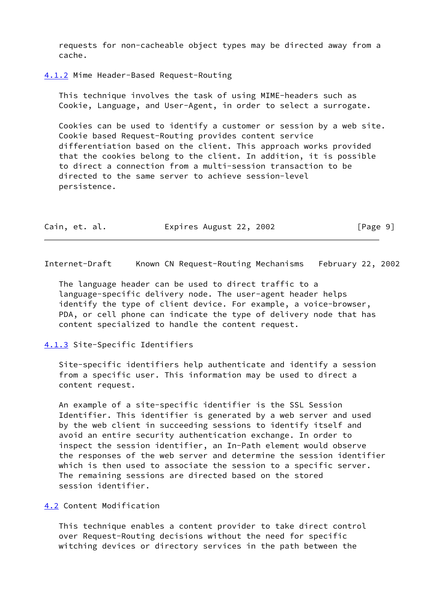requests for non-cacheable object types may be directed away from a cache.

<span id="page-10-0"></span>[4.1.2](#page-10-0) Mime Header-Based Request-Routing

 This technique involves the task of using MIME-headers such as Cookie, Language, and User-Agent, in order to select a surrogate.

 Cookies can be used to identify a customer or session by a web site. Cookie based Request-Routing provides content service differentiation based on the client. This approach works provided that the cookies belong to the client. In addition, it is possible to direct a connection from a multi-session transaction to be directed to the same server to achieve session-level persistence.

| Cain, et. al. | Expires August 22, 2002 | [Page 9] |
|---------------|-------------------------|----------|
|---------------|-------------------------|----------|

<span id="page-10-2"></span>Internet-Draft Known CN Request-Routing Mechanisms February 22, 2002

 The language header can be used to direct traffic to a language-specific delivery node. The user-agent header helps identify the type of client device. For example, a voice-browser, PDA, or cell phone can indicate the type of delivery node that has content specialized to handle the content request.

### <span id="page-10-1"></span>[4.1.3](#page-10-1) Site-Specific Identifiers

 Site-specific identifiers help authenticate and identify a session from a specific user. This information may be used to direct a content request.

 An example of a site-specific identifier is the SSL Session Identifier. This identifier is generated by a web server and used by the web client in succeeding sessions to identify itself and avoid an entire security authentication exchange. In order to inspect the session identifier, an In-Path element would observe the responses of the web server and determine the session identifier which is then used to associate the session to a specific server. The remaining sessions are directed based on the stored session identifier.

## <span id="page-10-3"></span>[4.2](#page-10-3) Content Modification

 This technique enables a content provider to take direct control over Request-Routing decisions without the need for specific witching devices or directory services in the path between the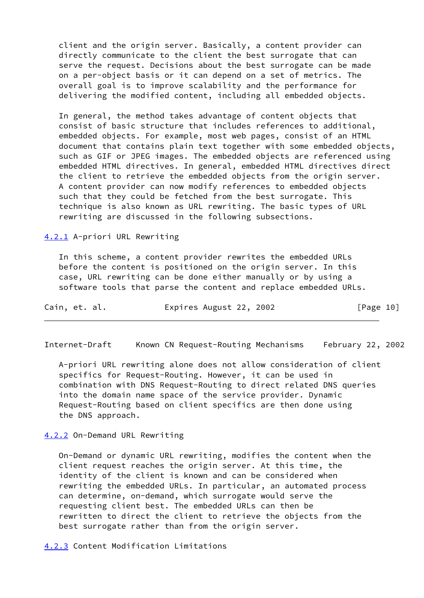client and the origin server. Basically, a content provider can directly communicate to the client the best surrogate that can serve the request. Decisions about the best surrogate can be made on a per-object basis or it can depend on a set of metrics. The overall goal is to improve scalability and the performance for delivering the modified content, including all embedded objects.

 In general, the method takes advantage of content objects that consist of basic structure that includes references to additional, embedded objects. For example, most web pages, consist of an HTML document that contains plain text together with some embedded objects, such as GIF or JPEG images. The embedded objects are referenced using embedded HTML directives. In general, embedded HTML directives direct the client to retrieve the embedded objects from the origin server. A content provider can now modify references to embedded objects such that they could be fetched from the best surrogate. This technique is also known as URL rewriting. The basic types of URL rewriting are discussed in the following subsections.

<span id="page-11-0"></span>[4.2.1](#page-11-0) A-priori URL Rewriting

 In this scheme, a content provider rewrites the embedded URLs before the content is positioned on the origin server. In this case, URL rewriting can be done either manually or by using a software tools that parse the content and replace embedded URLs.

| Cain, et. al. |  | Expires August 22, 2002 |  | [Page 10] |  |
|---------------|--|-------------------------|--|-----------|--|
|---------------|--|-------------------------|--|-----------|--|

<span id="page-11-2"></span>Internet-Draft Known CN Request-Routing Mechanisms February 22, 2002

 A-priori URL rewriting alone does not allow consideration of client specifics for Request-Routing. However, it can be used in combination with DNS Request-Routing to direct related DNS queries into the domain name space of the service provider. Dynamic Request-Routing based on client specifics are then done using the DNS approach.

<span id="page-11-1"></span>[4.2.2](#page-11-1) On-Demand URL Rewriting

 On-Demand or dynamic URL rewriting, modifies the content when the client request reaches the origin server. At this time, the identity of the client is known and can be considered when rewriting the embedded URLs. In particular, an automated process can determine, on-demand, which surrogate would serve the requesting client best. The embedded URLs can then be rewritten to direct the client to retrieve the objects from the best surrogate rather than from the origin server.

<span id="page-11-3"></span>[4.2.3](#page-11-3) Content Modification Limitations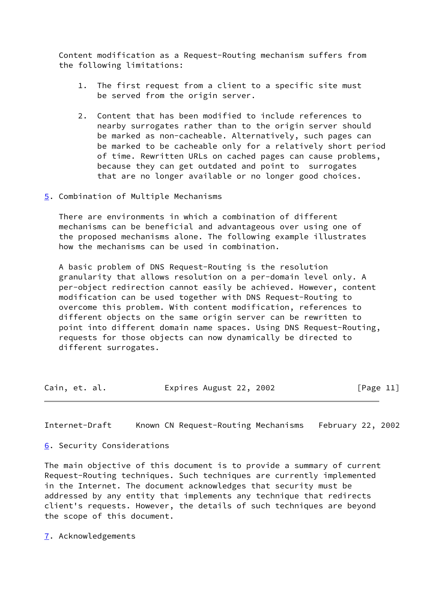Content modification as a Request-Routing mechanism suffers from the following limitations:

- 1. The first request from a client to a specific site must be served from the origin server.
- 2. Content that has been modified to include references to nearby surrogates rather than to the origin server should be marked as non-cacheable. Alternatively, such pages can be marked to be cacheable only for a relatively short period of time. Rewritten URLs on cached pages can cause problems, because they can get outdated and point to surrogates that are no longer available or no longer good choices.
- <span id="page-12-0"></span>[5](#page-12-0). Combination of Multiple Mechanisms

 There are environments in which a combination of different mechanisms can be beneficial and advantageous over using one of the proposed mechanisms alone. The following example illustrates how the mechanisms can be used in combination.

 A basic problem of DNS Request-Routing is the resolution granularity that allows resolution on a per-domain level only. A per-object redirection cannot easily be achieved. However, content modification can be used together with DNS Request-Routing to overcome this problem. With content modification, references to different objects on the same origin server can be rewritten to point into different domain name spaces. Using DNS Request-Routing, requests for those objects can now dynamically be directed to different surrogates.

| Cain, et. al. | Expires August 22, 2002 | [Page 11] |
|---------------|-------------------------|-----------|
|---------------|-------------------------|-----------|

<span id="page-12-2"></span>Internet-Draft Known CN Request-Routing Mechanisms February 22, 2002

<span id="page-12-1"></span>[6](#page-12-1). Security Considerations

The main objective of this document is to provide a summary of current Request-Routing techniques. Such techniques are currently implemented in the Internet. The document acknowledges that security must be addressed by any entity that implements any technique that redirects client's requests. However, the details of such techniques are beyond the scope of this document.

<span id="page-12-3"></span>[7](#page-12-3). Acknowledgements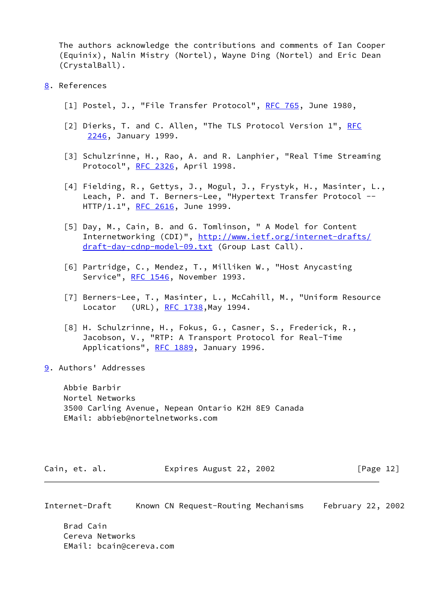The authors acknowledge the contributions and comments of Ian Cooper (Equinix), Nalin Mistry (Nortel), Wayne Ding (Nortel) and Eric Dean (CrystalBall).

- <span id="page-13-8"></span><span id="page-13-7"></span><span id="page-13-6"></span><span id="page-13-3"></span><span id="page-13-2"></span><span id="page-13-0"></span>[8](#page-13-0). References
	- [1] Postel, J., "File Transfer Protocol", [RFC 765](https://datatracker.ietf.org/doc/pdf/rfc765), June 1980,
	- [2] Dierks, T. and C. Allen, "The TLS Protocol Version 1", [RFC](https://datatracker.ietf.org/doc/pdf/rfc2246) [2246](https://datatracker.ietf.org/doc/pdf/rfc2246), January 1999.
	- [3] Schulzrinne, H., Rao, A. and R. Lanphier, "Real Time Streaming Protocol", [RFC 2326](https://datatracker.ietf.org/doc/pdf/rfc2326), April 1998.
	- [4] Fielding, R., Gettys, J., Mogul, J., Frystyk, H., Masinter, L., Leach, P. and T. Berners-Lee, "Hypertext Transfer Protocol -- HTTP/1.1", [RFC 2616](https://datatracker.ietf.org/doc/pdf/rfc2616), June 1999.
	- [5] Day, M., Cain, B. and G. Tomlinson, " A Model for Content Internetworking (CDI)", [http://www.ietf.org/internet-drafts/](http://www.ietf.org/internet-drafts/draft-day-cdnp-model-09.txt) [draft-day-cdnp-model-09.txt](http://www.ietf.org/internet-drafts/draft-day-cdnp-model-09.txt) (Group Last Call).
	- [6] Partridge, C., Mendez, T., Milliken W., "Host Anycasting Service", [RFC 1546,](https://datatracker.ietf.org/doc/pdf/rfc1546) November 1993.
	- [7] Berners-Lee, T., Masinter, L., McCahill, M., "Uniform Resource Locator (URL), [RFC 1738](https://datatracker.ietf.org/doc/pdf/rfc1738), May 1994.
	- [8] H. Schulzrinne, H., Fokus, G., Casner, S., Frederick, R., Jacobson, V., "RTP: A Transport Protocol for Real-Time Applications", [RFC 1889,](https://datatracker.ietf.org/doc/pdf/rfc1889) January 1996.
- <span id="page-13-9"></span><span id="page-13-5"></span><span id="page-13-4"></span><span id="page-13-1"></span>[9](#page-13-1). Authors' Addresses

 Abbie Barbir Nortel Networks 3500 Carling Avenue, Nepean Ontario K2H 8E9 Canada EMail: abbieb@nortelnetworks.com

| Cain, et. al. | Expires August 22, 2002 | [Page 12] |
|---------------|-------------------------|-----------|
|---------------|-------------------------|-----------|

Internet-Draft Known CN Request-Routing Mechanisms February 22, 2002

 Brad Cain Cereva Networks EMail: bcain@cereva.com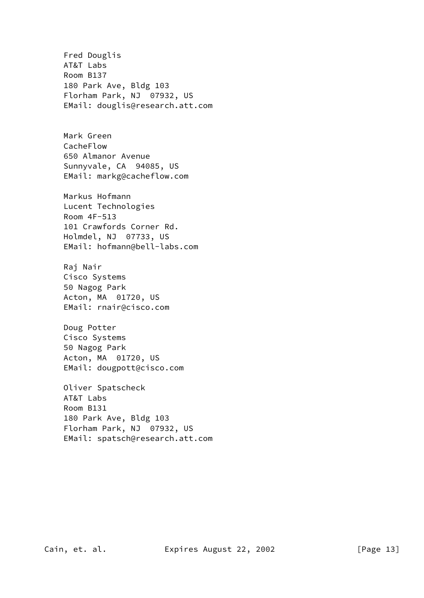Fred Douglis AT&T Labs Room B137 180 Park Ave, Bldg 103 Florham Park, NJ 07932, US EMail: douglis@research.att.com Mark Green CacheFlow 650 Almanor Avenue Sunnyvale, CA 94085, US EMail: markg@cacheflow.com Markus Hofmann Lucent Technologies Room 4F-513 101 Crawfords Corner Rd. Holmdel, NJ 07733, US EMail: hofmann@bell-labs.com Raj Nair Cisco Systems 50 Nagog Park Acton, MA 01720, US EMail: rnair@cisco.com Doug Potter Cisco Systems 50 Nagog Park Acton, MA 01720, US EMail: dougpott@cisco.com Oliver Spatscheck AT&T Labs Room B131 180 Park Ave, Bldg 103 Florham Park, NJ 07932, US EMail: spatsch@research.att.com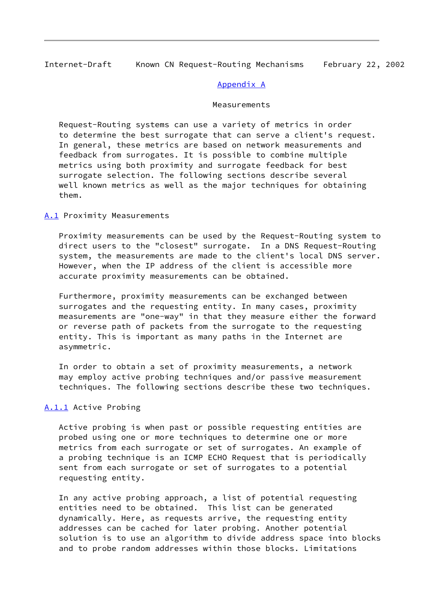## Appendix A

### Measurements

<span id="page-15-0"></span> Request-Routing systems can use a variety of metrics in order to determine the best surrogate that can serve a client's request. In general, these metrics are based on network measurements and feedback from surrogates. It is possible to combine multiple metrics using both proximity and surrogate feedback for best surrogate selection. The following sections describe several well known metrics as well as the major techniques for obtaining them.

<span id="page-15-1"></span>[A.1](#page-15-1) Proximity Measurements

 Proximity measurements can be used by the Request-Routing system to direct users to the "closest" surrogate. In a DNS Request-Routing system, the measurements are made to the client's local DNS server. However, when the IP address of the client is accessible more accurate proximity measurements can be obtained.

 Furthermore, proximity measurements can be exchanged between surrogates and the requesting entity. In many cases, proximity measurements are "one-way" in that they measure either the forward or reverse path of packets from the surrogate to the requesting entity. This is important as many paths in the Internet are asymmetric.

 In order to obtain a set of proximity measurements, a network may employ active probing techniques and/or passive measurement techniques. The following sections describe these two techniques.

## <span id="page-15-2"></span>[A.1.1](#page-15-2) Active Probing

 Active probing is when past or possible requesting entities are probed using one or more techniques to determine one or more metrics from each surrogate or set of surrogates. An example of a probing technique is an ICMP ECHO Request that is periodically sent from each surrogate or set of surrogates to a potential requesting entity.

 In any active probing approach, a list of potential requesting entities need to be obtained. This list can be generated dynamically. Here, as requests arrive, the requesting entity addresses can be cached for later probing. Another potential solution is to use an algorithm to divide address space into blocks and to probe random addresses within those blocks. Limitations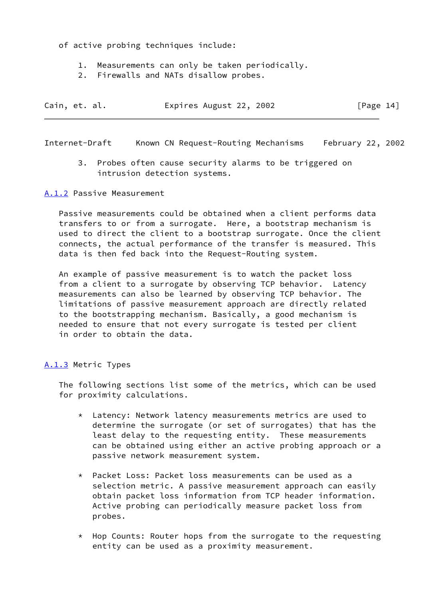of active probing techniques include:

- 1. Measurements can only be taken periodically.
- 2. Firewalls and NATs disallow probes.

| Cain, et. al. |  | Expires August 22, 2002 |  | [Page 14] |  |
|---------------|--|-------------------------|--|-----------|--|
|               |  |                         |  |           |  |

<span id="page-16-1"></span>Internet-Draft Known CN Request-Routing Mechanisms February 22, 2002

 3. Probes often cause security alarms to be triggered on intrusion detection systems.

<span id="page-16-0"></span>[A.1.2](#page-16-0) Passive Measurement

 Passive measurements could be obtained when a client performs data transfers to or from a surrogate. Here, a bootstrap mechanism is used to direct the client to a bootstrap surrogate. Once the client connects, the actual performance of the transfer is measured. This data is then fed back into the Request-Routing system.

 An example of passive measurement is to watch the packet loss from a client to a surrogate by observing TCP behavior. Latency measurements can also be learned by observing TCP behavior. The limitations of passive measurement approach are directly related to the bootstrapping mechanism. Basically, a good mechanism is needed to ensure that not every surrogate is tested per client in order to obtain the data.

## <span id="page-16-2"></span>[A.1.3](#page-16-2) Metric Types

 The following sections list some of the metrics, which can be used for proximity calculations.

- \* Latency: Network latency measurements metrics are used to determine the surrogate (or set of surrogates) that has the least delay to the requesting entity. These measurements can be obtained using either an active probing approach or a passive network measurement system.
- \* Packet Loss: Packet loss measurements can be used as a selection metric. A passive measurement approach can easily obtain packet loss information from TCP header information. Active probing can periodically measure packet loss from probes.
- \* Hop Counts: Router hops from the surrogate to the requesting entity can be used as a proximity measurement.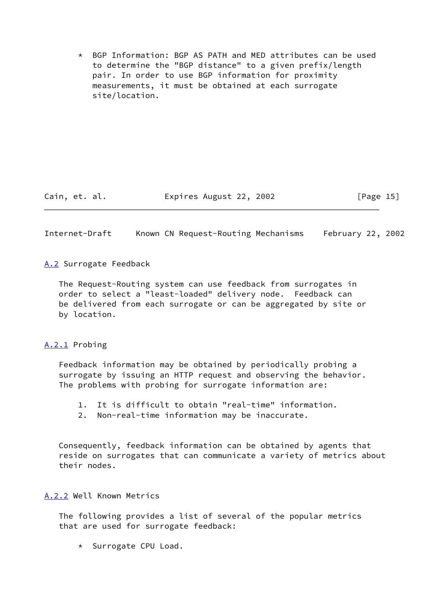\* BGP Information: BGP AS PATH and MED attributes can be used to determine the "BGP distance" to a given prefix/length pair. In order to use BGP information for proximity measurements, it must be obtained at each surrogate site/location.

Cain, et. al. Expires August 22, 2002 [Page 15]

<span id="page-17-1"></span>Internet-Draft Known CN Request-Routing Mechanisms February 22, 2002

<span id="page-17-0"></span>[A.2](#page-17-0) Surrogate Feedback

 The Request-Routing system can use feedback from surrogates in order to select a "least-loaded" delivery node. Feedback can be delivered from each surrogate or can be aggregated by site or by location.

<span id="page-17-2"></span>[A.2.1](#page-17-2) Probing

 Feedback information may be obtained by periodically probing a surrogate by issuing an HTTP request and observing the behavior. The problems with probing for surrogate information are:

1. It is difficult to obtain "real-time" information.

2. Non-real-time information may be inaccurate.

 Consequently, feedback information can be obtained by agents that reside on surrogates that can communicate a variety of metrics about their nodes.

<span id="page-17-3"></span>[A.2.2](#page-17-3) Well Known Metrics

 The following provides a list of several of the popular metrics that are used for surrogate feedback:

\* Surrogate CPU Load.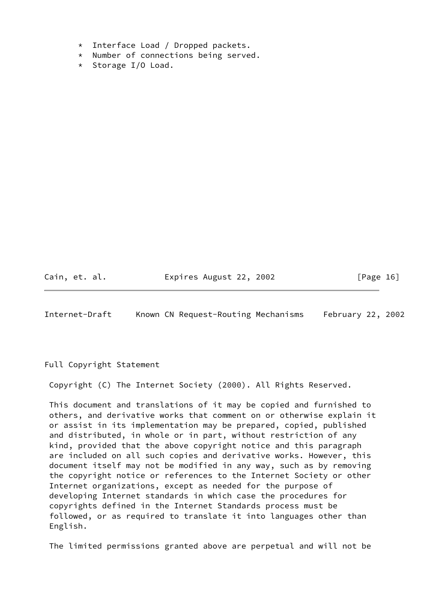- \* Interface Load / Dropped packets.
- \* Number of connections being served.
- \* Storage I/O Load.

Cain, et. al. Expires August 22, 2002 [Page 16]

Internet-Draft Known CN Request-Routing Mechanisms February 22, 2002

Full Copyright Statement

Copyright (C) The Internet Society (2000). All Rights Reserved.

 This document and translations of it may be copied and furnished to others, and derivative works that comment on or otherwise explain it or assist in its implementation may be prepared, copied, published and distributed, in whole or in part, without restriction of any kind, provided that the above copyright notice and this paragraph are included on all such copies and derivative works. However, this document itself may not be modified in any way, such as by removing the copyright notice or references to the Internet Society or other Internet organizations, except as needed for the purpose of developing Internet standards in which case the procedures for copyrights defined in the Internet Standards process must be followed, or as required to translate it into languages other than English.

The limited permissions granted above are perpetual and will not be